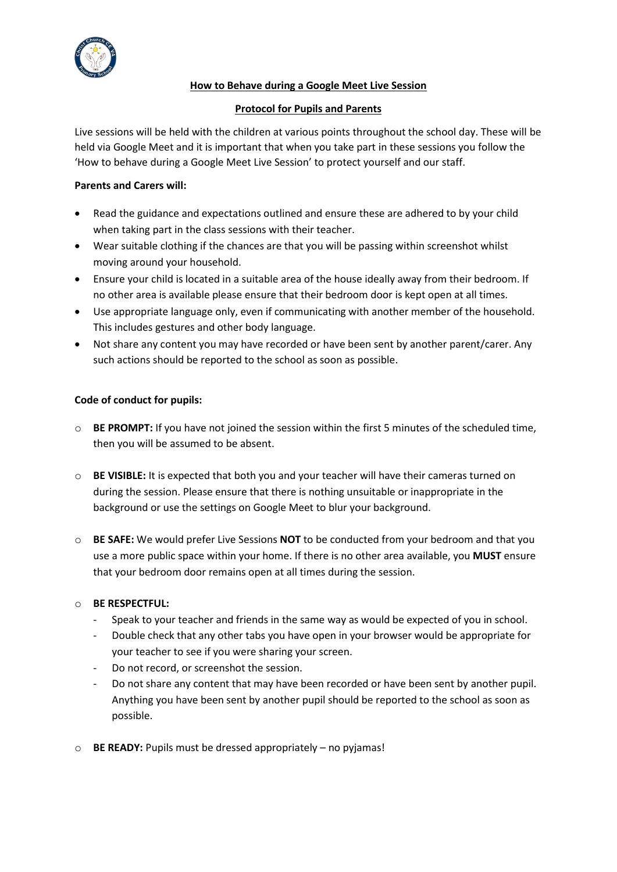

# **How to Behave during a Google Meet Live Session**

## **Protocol for Pupils and Parents**

Live sessions will be held with the children at various points throughout the school day. These will be held via Google Meet and it is important that when you take part in these sessions you follow the 'How to behave during a Google Meet Live Session' to protect yourself and our staff.

# **Parents and Carers will:**

- Read the guidance and expectations outlined and ensure these are adhered to by your child when taking part in the class sessions with their teacher.
- Wear suitable clothing if the chances are that you will be passing within screenshot whilst moving around your household.
- Ensure your child is located in a suitable area of the house ideally away from their bedroom. If no other area is available please ensure that their bedroom door is kept open at all times.
- Use appropriate language only, even if communicating with another member of the household. This includes gestures and other body language.
- Not share any content you may have recorded or have been sent by another parent/carer. Any such actions should be reported to the school as soon as possible.

# **Code of conduct for pupils:**

- o **BE PROMPT:** If you have not joined the session within the first 5 minutes of the scheduled time, then you will be assumed to be absent.
- o **BE VISIBLE:** It is expected that both you and your teacher will have their cameras turned on during the session. Please ensure that there is nothing unsuitable or inappropriate in the background or use the settings on Google Meet to blur your background.
- o **BE SAFE:** We would prefer Live Sessions **NOT** to be conducted from your bedroom and that you use a more public space within your home. If there is no other area available, you **MUST** ensure that your bedroom door remains open at all times during the session.

# o **BE RESPECTFUL:**

- Speak to your teacher and friends in the same way as would be expected of you in school.
- Double check that any other tabs you have open in your browser would be appropriate for your teacher to see if you were sharing your screen.
- Do not record, or screenshot the session.
- Do not share any content that may have been recorded or have been sent by another pupil. Anything you have been sent by another pupil should be reported to the school as soon as possible.
- o **BE READY:** Pupils must be dressed appropriately no pyjamas!